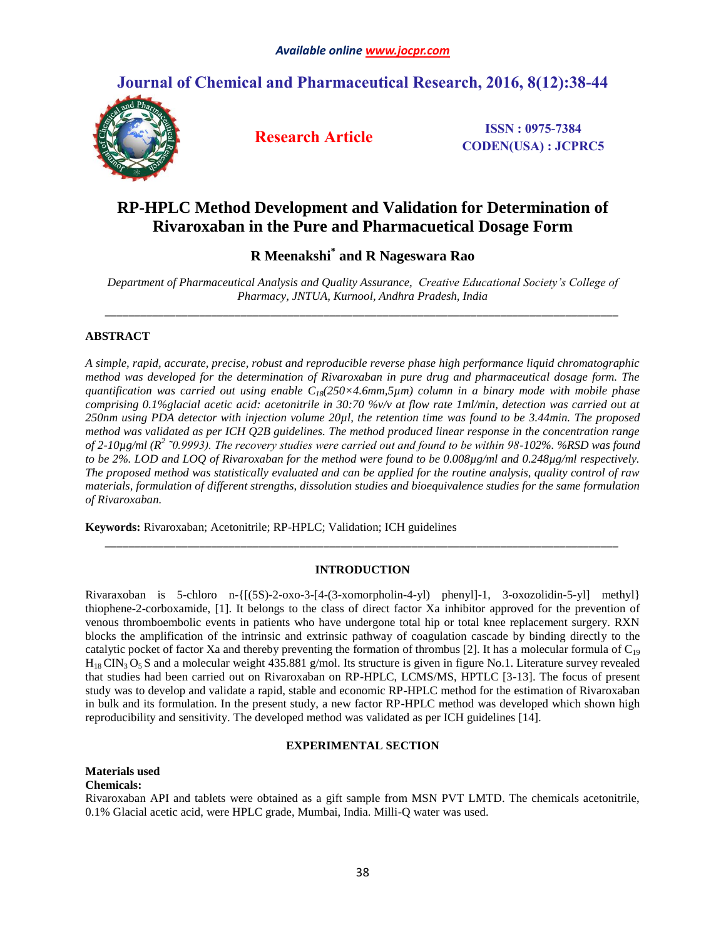# **Journal of Chemical and Pharmaceutical Research, 2016, 8(12):38-44**



**Research Article ISSN : 0975-7384 CODEN(USA) : JCPRC5**

# **RP-HPLC Method Development and Validation for Determination of Rivaroxaban in the Pure and Pharmacuetical Dosage Form**

# **R Meenakshi\* and R Nageswara Rao**

*Department of Pharmaceutical Analysis and Quality Assurance, Creative Educational Society's College of Pharmacy, JNTUA, Kurnool, Andhra Pradesh, India \_\_\_\_\_\_\_\_\_\_\_\_\_\_\_\_\_\_\_\_\_\_\_\_\_\_\_\_\_\_\_\_\_\_\_\_\_\_\_\_\_\_\_\_\_\_\_\_\_\_\_\_\_\_\_\_\_\_\_\_\_\_\_\_\_\_\_\_\_\_\_\_\_\_\_\_\_\_\_\_\_\_\_\_\_\_\_*

# **ABSTRACT**

*A simple, rapid, accurate, precise, robust and reproducible reverse phase high performance liquid chromatographic method was developed for the determination of Rivaroxaban in pure drug and pharmaceutical dosage form. The quantification was carried out using enable C18(250×4.6mm,5µm) column in a binary mode with mobile phase comprising 0.1%glacial acetic acid: acetonitrile in 30:70 %v/v at flow rate 1ml/min, detection was carried out at 250nm using PDA detector with injection volume 20µl, the retention time was found to be 3.44min. The proposed method was validated as per ICH Q2B guidelines. The method produced linear response in the concentration range of 2-10µg/ml (R<sup>2</sup> ˜0.9993). The recovery studies were carried out and found to be within 98-102%. %RSD was found to be 2%. LOD and LOQ of Rivaroxaban for the method were found to be 0.008µg/ml and 0.248µg/ml respectively. The proposed method was statistically evaluated and can be applied for the routine analysis, quality control of raw materials, formulation of different strengths, dissolution studies and bioequivalence studies for the same formulation of Rivaroxaban.*

**Keywords:** Rivaroxaban; Acetonitrile; RP-HPLC; Validation; ICH guidelines

# **INTRODUCTION**

*\_\_\_\_\_\_\_\_\_\_\_\_\_\_\_\_\_\_\_\_\_\_\_\_\_\_\_\_\_\_\_\_\_\_\_\_\_\_\_\_\_\_\_\_\_\_\_\_\_\_\_\_\_\_\_\_\_\_\_\_\_\_\_\_\_\_\_\_\_\_\_\_\_\_\_\_\_\_\_\_\_\_\_\_\_\_\_*

Rivaraxoban is 5-chloro n- $\{[(5S)-2-0X0-3-[4-(3-x0morpholin-4-y])\}$  phenyl $]-1$ , 3-oxozolidin-5-yl] methyl thiophene-2-corboxamide, [1]. It belongs to the class of direct factor Xa inhibitor approved for the prevention of venous thromboembolic events in patients who have undergone total hip or total knee replacement surgery. RXN blocks the amplification of the intrinsic and extrinsic pathway of coagulation cascade by binding directly to the catalytic pocket of factor Xa and thereby preventing the formation of thrombus [2]. It has a molecular formula of  $C_{19}$  $H_{18}$  CIN<sub>3</sub> O<sub>5</sub> S and a molecular weight 435.881 g/mol. Its structure is given in figure No.1. Literature survey revealed that studies had been carried out on Rivaroxaban on RP-HPLC, LCMS/MS, HPTLC [3-13]. The focus of present study was to develop and validate a rapid, stable and economic RP-HPLC method for the estimation of Rivaroxaban in bulk and its formulation. In the present study, a new factor RP-HPLC method was developed which shown high reproducibility and sensitivity. The developed method was validated as per ICH guidelines [14].

# **EXPERIMENTAL SECTION**

# **Materials used**

# **Chemicals:**

Rivaroxaban API and tablets were obtained as a gift sample from MSN PVT LMTD. The chemicals acetonitrile, 0.1% Glacial acetic acid, were HPLC grade, Mumbai, India. Milli-Q water was used.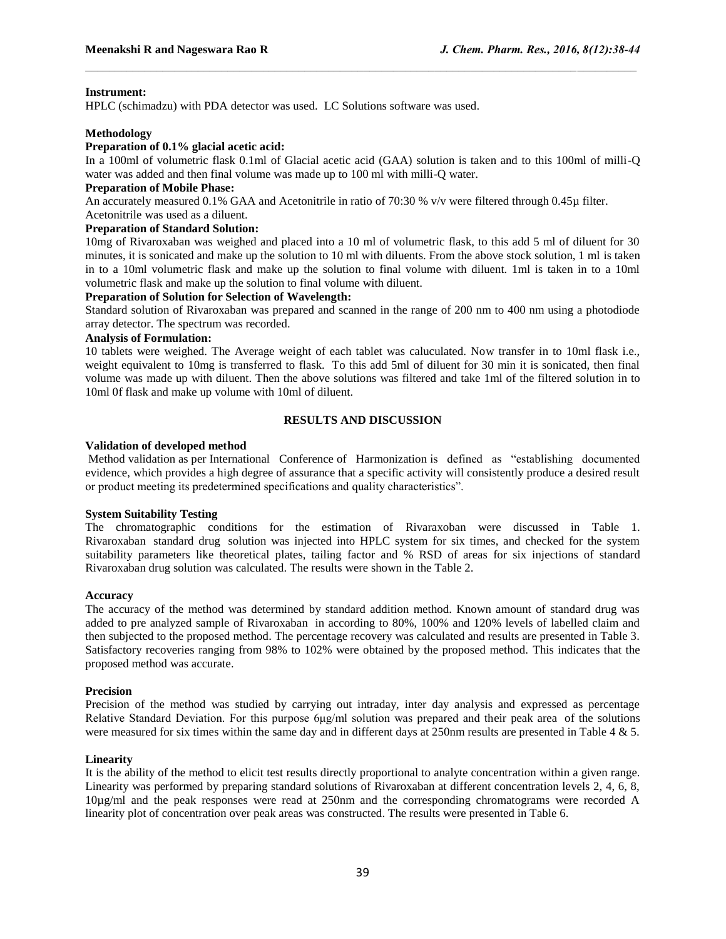## **Instrument:**

HPLC (schimadzu) with PDA detector was used. LC Solutions software was used.

#### **Methodology**

#### **Preparation of 0.1% glacial acetic acid:**

In a 100ml of volumetric flask 0.1ml of Glacial acetic acid (GAA) solution is taken and to this 100ml of milli-Q water was added and then final volume was made up to 100 ml with milli-Q water.

## **Preparation of Mobile Phase:**

An accurately measured 0.1% GAA and Acetonitrile in ratio of 70:30 % v/v were filtered through 0.45µ filter.

# Acetonitrile was used as a diluent.

# **Preparation of Standard Solution:**

10mg of Rivaroxaban was weighed and placed into a 10 ml of volumetric flask, to this add 5 ml of diluent for 30 minutes, it is sonicated and make up the solution to 10 ml with diluents. From the above stock solution, 1 ml is taken in to a 10ml volumetric flask and make up the solution to final volume with diluent. 1ml is taken in to a 10ml volumetric flask and make up the solution to final volume with diluent.

#### **Preparation of Solution for Selection of Wavelength:**

Standard solution of Rivaroxaban was prepared and scanned in the range of 200 nm to 400 nm using a photodiode array detector. The spectrum was recorded.

#### **Analysis of Formulation:**

10 tablets were weighed. The Average weight of each tablet was caluculated. Now transfer in to 10ml flask i.e., weight equivalent to 10mg is transferred to flask. To this add 5ml of diluent for 30 min it is sonicated, then final volume was made up with diluent. Then the above solutions was filtered and take 1ml of the filtered solution in to 10ml 0f flask and make up volume with 10ml of diluent.

#### **RESULTS AND DISCUSSION**

#### **Validation of developed method**

Method validation as per International Conference of Harmonization is defined as "establishing documented evidence, which provides a high degree of assurance that a specific activity will consistently produce a desired result or product meeting its predetermined specifications and quality characteristics".

#### **System Suitability Testing**

The chromatographic conditions for the estimation of Rivaraxoban were discussed in Table 1. Rivaroxaban standard drug solution was injected into HPLC system for six times, and checked for the system suitability parameters like theoretical plates, tailing factor and % RSD of areas for six injections of standard Rivaroxaban drug solution was calculated. The results were shown in the Table 2.

#### **Accuracy**

The accuracy of the method was determined by standard addition method. Known amount of standard drug was added to pre analyzed sample of Rivaroxaban in according to 80%, 100% and 120% levels of labelled claim and then subjected to the proposed method. The percentage recovery was calculated and results are presented in Table 3. Satisfactory recoveries ranging from 98% to 102% were obtained by the proposed method. This indicates that the proposed method was accurate.

#### **Precision**

Precision of the method was studied by carrying out intraday, inter day analysis and expressed as percentage Relative Standard Deviation. For this purpose 6μg/ml solution was prepared and their peak area of the solutions were measured for six times within the same day and in different days at 250nm results are presented in Table 4 & 5.

#### **Linearity**

It is the ability of the method to elicit test results directly proportional to analyte concentration within a given range. Linearity was performed by preparing standard solutions of Rivaroxaban at different concentration levels 2, 4, 6, 8, 10µg/ml and the peak responses were read at 250nm and the corresponding chromatograms were recorded A linearity plot of concentration over peak areas was constructed. The results were presented in Table 6.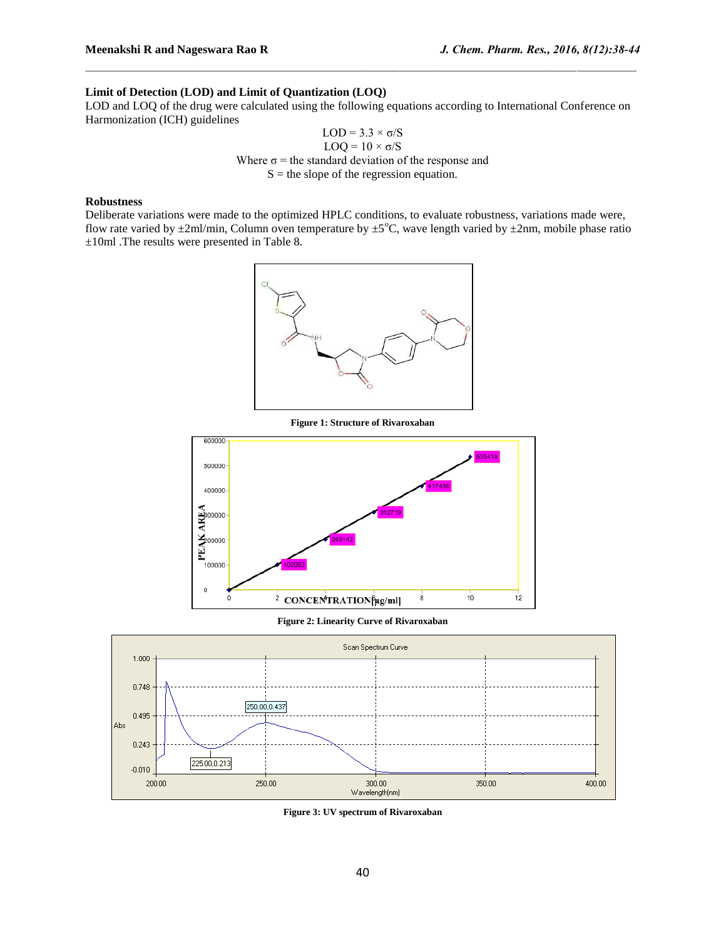# **Limit of Detection (LOD) and Limit of Quantization (LOQ)**

LOD and LOQ of the drug were calculated using the following equations according to International Conference on Harmonization (ICH) guidelines

$$
LOD = 3.3 \times \sigma/S
$$
  
 
$$
LOQ = 10 \times \sigma/S
$$
  
Where  $\sigma$  = the standard deviation of the response and  
  $S$  = the slope of the regression equation.

#### **Robustness**

Deliberate variations were made to the optimized HPLC conditions, to evaluate robustness, variations made were, flow rate varied by  $\pm 2$ ml/min, Column oven temperature by  $\pm 5^{\circ}$ C, wave length varied by  $\pm 2$ nm, mobile phase ratio ±10ml .The results were presented in Table 8.



**Figure 1: Structure of Rivaroxaban**



**Figure 2: Linearity Curve of Rivaroxaban**



**Figure 3: UV spectrum of Rivaroxaban**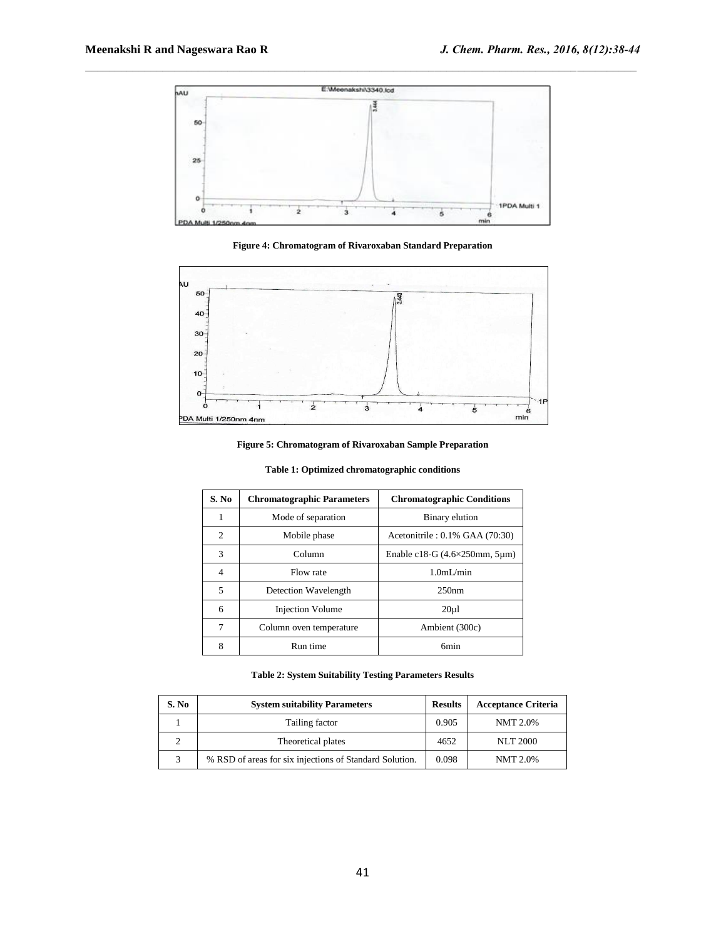

**Figure 4: Chromatogram of Rivaroxaban Standard Preparation**



**Figure 5: Chromatogram of Rivaroxaban Sample Preparation**

| S. No          | <b>Chromatographic Parameters</b> | <b>Chromatographic Conditions</b>          |
|----------------|-----------------------------------|--------------------------------------------|
| 1              | Mode of separation                | Binary elution                             |
| $\overline{2}$ | Mobile phase                      | Acetonitrile : 0.1% GAA (70:30)            |
| 3              | Column                            | Enable c18-G $(4.6\times250$ mm, $5\mu$ m) |
| 4              | Flow rate                         | 1.0 <sub>m</sub> I/min                     |
| 5              | Detection Wavelength              | 250nm                                      |
| 6              | <b>Injection Volume</b>           | $20 \mu$                                   |
| 7              | Column oven temperature           | Ambient (300c)                             |
| 8              | Run time                          | 6 <sub>min</sub>                           |

**Table 1: Optimized chromatographic conditions**

## **Table 2: System Suitability Testing Parameters Results**

| S. No | <b>System suitability Parameters</b>                    | <b>Results</b> | <b>Acceptance Criteria</b> |
|-------|---------------------------------------------------------|----------------|----------------------------|
|       | Tailing factor                                          | 0.905          | NMT 2.0%                   |
|       | Theoretical plates                                      | 4652           | <b>NLT 2000</b>            |
|       | % RSD of areas for six injections of Standard Solution. | 0.098          | <b>NMT 2.0%</b>            |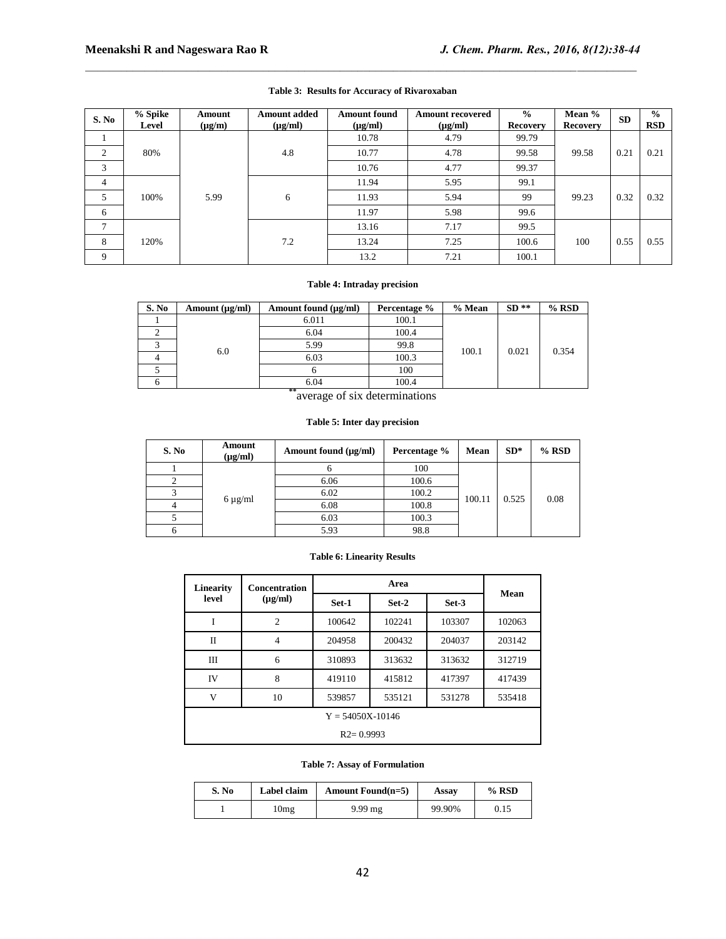| S. No          | % Spike<br>Level | Amount<br>$(\mu g/m)$ | <b>Amount added</b><br>$(\mu g/ml)$ | <b>Amount found</b><br>$(\mu g/ml)$ | <b>Amount recovered</b><br>$(\mu g/ml)$ | $\frac{0}{0}$<br><b>Recovery</b> | Mean %<br><b>Recovery</b> | <b>SD</b> | $\frac{0}{0}$<br><b>RSD</b> |
|----------------|------------------|-----------------------|-------------------------------------|-------------------------------------|-----------------------------------------|----------------------------------|---------------------------|-----------|-----------------------------|
|                |                  |                       |                                     | 10.78                               | 4.79                                    | 99.79                            |                           |           |                             |
| 2              | 80%              |                       | 4.8                                 | 10.77                               | 4.78                                    | 99.58                            | 99.58                     | 0.21      | 0.21                        |
| 3              |                  |                       |                                     | 10.76                               | 4.77                                    | 99.37                            |                           |           |                             |
| $\overline{4}$ |                  |                       |                                     | 11.94                               | 5.95                                    | 99.1                             |                           |           |                             |
| 5              | 100%             | 5.99                  | 6                                   | 11.93                               | 5.94                                    | 99                               | 99.23                     | 0.32      | 0.32                        |
| 6              |                  |                       |                                     | 11.97                               | 5.98                                    | 99.6                             |                           |           |                             |
| $\mathcal{I}$  |                  |                       |                                     | 13.16                               | 7.17                                    | 99.5                             |                           |           |                             |
| 8              | 120%             |                       | 7.2                                 | 13.24                               | 7.25                                    | 100.6                            | 100                       | 0.55      | 0.55                        |
| 9              |                  |                       |                                     | 13.2                                | 7.21                                    | 100.1                            |                           |           |                             |

## **Table 3: Results for Accuracy of Rivaroxaban**

## **Table 4: Intraday precision**

| S. No | Amount found (µg/ml)<br>Amount $(\mu g/ml)$ |       | Percentage %                               | % Mean | $SD**$ | $%$ RSD |
|-------|---------------------------------------------|-------|--------------------------------------------|--------|--------|---------|
|       |                                             | 6.011 | 100.1                                      |        | 0.021  | 0.354   |
|       |                                             | 6.04  | 100.4                                      |        |        |         |
|       | 6.0                                         | 5.99  | 99.8                                       | 100.1  |        |         |
|       |                                             | 6.03  | 100.3                                      |        |        |         |
|       |                                             |       | 100                                        |        |        |         |
|       |                                             | 6.04  | 100.4                                      |        |        |         |
|       |                                             | **    | $\mathbf{r}$ , and the set of $\mathbf{r}$ |        |        |         |

**\***average of six determinations

#### **Table 5: Inter day precision**

| S. No | Amount<br>$(\mu g/ml)$ | Amount found $(\mu g/ml)$ | Percentage % | Mean   | $SD*$ | $%$ RSD |
|-------|------------------------|---------------------------|--------------|--------|-------|---------|
|       |                        |                           | 100          |        |       |         |
|       |                        | 6.06                      | 100.6        | 100.11 | 0.525 | 0.08    |
|       | $6 \mu g/ml$           | 6.02                      | 100.2        |        |       |         |
|       |                        | 6.08                      | 100.8        |        |       |         |
|       |                        | 6.03                      | 100.3        |        |       |         |
|       |                        | 5.93                      | 98.8         |        |       |         |

#### **Table 6: Linearity Results**

| Linearity            | <b>Concentration</b> |        | Mean   |        |        |  |  |
|----------------------|----------------------|--------|--------|--------|--------|--|--|
| level                | $(\mu g/ml)$         | Set-1  | Set-2  | Set-3  |        |  |  |
| I                    | $\overline{c}$       | 100642 | 102241 | 103307 | 102063 |  |  |
| $\Pi$                | 4                    | 204958 | 200432 | 204037 | 203142 |  |  |
| ΠI                   | 6                    | 310893 | 313632 | 313632 | 312719 |  |  |
| IV                   | 8                    | 419110 | 415812 | 417397 | 417439 |  |  |
| V                    | 10                   | 539857 | 535121 | 531278 | 535418 |  |  |
| $Y = 54050X - 10146$ |                      |        |        |        |        |  |  |
| $R2 = 0.9993$        |                      |        |        |        |        |  |  |

#### **Table 7: Assay of Formulation**

| S. No | Label claim | Amount Found $(n=5)$ | Assay  | $%$ RSD |
|-------|-------------|----------------------|--------|---------|
|       | 10mg        | $9.99$ mg            | 99.90% | 0.15    |